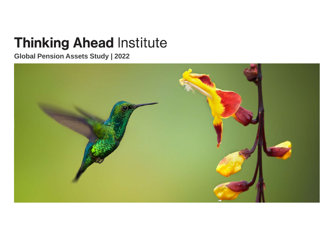## **Thinking Ahead Institute**

#### **Global Pension Assets Study | 2022**

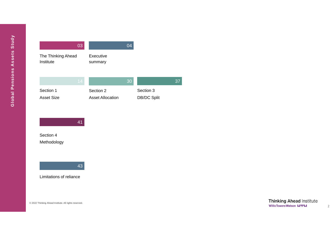|                                 | 03 |                                      | 04 |                                 |    |
|---------------------------------|----|--------------------------------------|----|---------------------------------|----|
| The Thinking Ahead<br>Institute |    | Executive<br>summary                 |    |                                 |    |
|                                 | 14 |                                      | 30 |                                 | 37 |
| Section 1<br><b>Asset Size</b>  |    | Section 2<br><b>Asset Allocation</b> |    | Section 3<br><b>DB/DC Split</b> |    |



Section 4 Methodology



Limitations of reliance

© 2022 Thinking Ahead Institute. All rights reserved.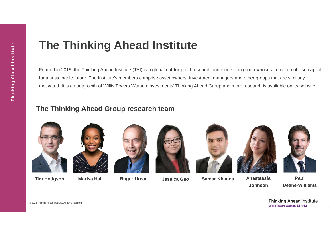### **The Thinking Ahead Institute**

Formed in 2015, the Thinking Ahead Institute (TAI) is a global not-for-profit research and innovation group whose aim is to mobilise capital for a sustainable future. The Institute's members comprise asset owners, investment managers and other groups that are similarly motivated. It is an outgrowth of Willis Towers Watson Investments' Thinking Ahead Group and more research is available on its website.

#### **The Thinking Ahead Group research team**



**Tim Hodgson Marisa Hall Roger Urwin Jessica Gao Samar Khanna Anastassia**











**Johnson**



**Paul Deane-Williams**

**Thinking Ahead Institute WillisTowersWatson I.I'I'I.I** 



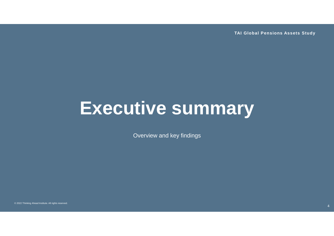**TAI Global Pensions Assets Study**

## **Executive summary**

Overview and key findings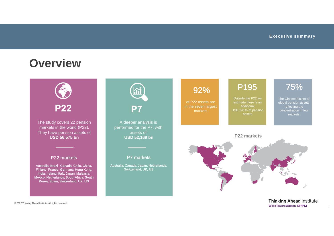#### **Overview**



**Thinking Ahead Institute WillisTowersWatson I.I'l'I.I**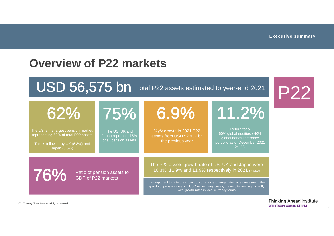P22

### **Overview of P22 markets**

### USD 56,575 bn Total P22 assets estimated to year-end 2021

The US, UK and Japan represent 75% of all pension assets 75% %y/y growth in 2021 P22 assets from USD 52,937 bn the previous year 62% Return for a 60% global equities / 40% global bonds reference portfolio as of December 2021 (in USD) 11.2% The US is the largest pension market, representing 62% of total P22 assets This is followed by UK (6.8%) and Japan (6.5%) **76%** Ratio of pension assets to GDP of P22 markets The P22 assets growth rate of US, UK and Japan were 10.3%, 11.9% and 11.9% respectively in 2021 (in USD) It is important to note the impact of currency exchange rates when measuring the growth of pension assets in USD as, in many cases, the results vary significantly with growth rates in local currency terms 6.9%

© 2022 Thinking Ahead Institute. All rights reserved.

**Thinking Ahead Institute WillisTowersWatson I.I'I'I.I**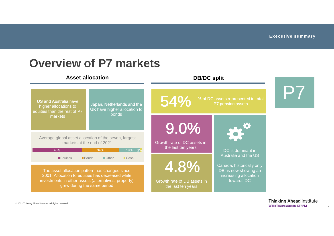

#### © 2022 Thinking Ahead Institute. All rights reserved.

**Thinking Ahead Institute WillisTowersWatson I.I'l'I.I**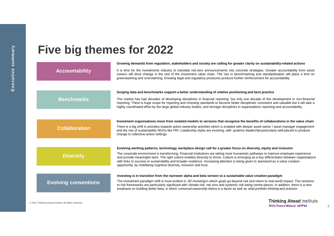### **Five big themes for 2022**

|                                              | Growing demands from regulation, stakeholders and society are calling for greater clarity on sustainability-related actions                                                                                                                                                                                                                                                                                                                                                                          |
|----------------------------------------------|------------------------------------------------------------------------------------------------------------------------------------------------------------------------------------------------------------------------------------------------------------------------------------------------------------------------------------------------------------------------------------------------------------------------------------------------------------------------------------------------------|
| <b>Accountability</b>                        | It is time for the investments industry to translate net-zero announcements into concrete strategies. Greater accountability from asset<br>owners will drive change in the rest of the investment value chain. The rise in benchmarking and standardisation will place a limit on<br>greenwashing and overclaiming. Growing legal and regulatory pressures produce further reinforcement for accountability.                                                                                         |
|                                              |                                                                                                                                                                                                                                                                                                                                                                                                                                                                                                      |
|                                              | Surging data and benchmarks support a better understanding of relative positioning and best practice                                                                                                                                                                                                                                                                                                                                                                                                 |
| <b>Benchmarks</b>                            | The market has had decades of developing disciplines in financial reporting; but only one decade of this development in non-financial<br>reporting. There is huge scope for reporting and investing standards to become better disciplined, consistent and valuable but it will take a<br>highly coordinated effort by the large global industry bodies, and stronger disciplines in organisations' reporting and accountability.                                                                    |
|                                              |                                                                                                                                                                                                                                                                                                                                                                                                                                                                                                      |
|                                              | Investment organisations move from isolated models to versions that recognize the benefits of collaborations in the value chain                                                                                                                                                                                                                                                                                                                                                                      |
| <b>Collaboration</b>                         | There is a big shift in priorities towards active ownership activities which is enabled with deeper asset owner / asset manager engagement<br>and the rise of sustainability NGOs like PRI. Leadership styles are evolving, with <i>systems leadership</i> particularly well-placed to produce<br>change in collective-action settings.                                                                                                                                                              |
|                                              |                                                                                                                                                                                                                                                                                                                                                                                                                                                                                                      |
|                                              | Evolving working patterns, technology, workplace design call for a greater focus on diversity, equity and inclusion                                                                                                                                                                                                                                                                                                                                                                                  |
| <b>Diversity</b>                             | The corporate environment is transforming. Financial institutions are taking more humanistic pathways to improve employee experience<br>and provide meaningful work. The right culture enables diversity to thrive. Culture is emerging as a key differentiator between organisations<br>with links to success in sustainability and broader resilience. Increasing attention is being given to teamwork as a value creation<br>opportunity, by mobilising cognitive diversity, inclusion and trust. |
|                                              |                                                                                                                                                                                                                                                                                                                                                                                                                                                                                                      |
|                                              | Investing is in transition from the narrower alpha and beta version to a sustainable value creation paradigm                                                                                                                                                                                                                                                                                                                                                                                         |
| <b>Evolving conventions</b>                  | The investment paradigm shift is most evident in 3D investing in which goals go beyond risk and return to real-world impact. The revisions<br>to risk frameworks are particularly significant with climate risk, net zero and systemic risk being centre-pieces. In addition, there is a new<br>emphasis on building better beta, in which <i>universal-ownership theory</i> is a factor as well as <i>total portfolio thinking</i> and practice.                                                    |
|                                              |                                                                                                                                                                                                                                                                                                                                                                                                                                                                                                      |
| Thinking Ahead Institute All rights reserved | <b>Thinking Ahead Institute</b>                                                                                                                                                                                                                                                                                                                                                                                                                                                                      |

**WillisTowersWatson I.I'I'I.I**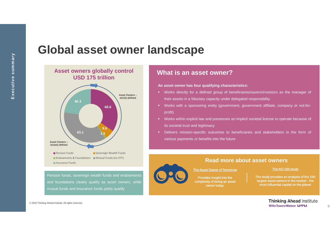#### **Global asset owner landscape**



Pension funds, sovereign wealth funds and endowments and foundations clearly qualify as asset owners, while mutual funds and insurance funds partly qualify

**An asset owner has four qualifying characteristics:**

- Works directly for a defined group of beneficiaries/savers/investors as the manager of their assets in a fiduciary capacity under delegated responsibility
- Works with a sponsoring entity (government, government affiliate, company or not-forprofit)
- Works within explicit law and possesses an implicit societal license to operate because of its societal trust and legitimacy
- Delivers mission-specific outcomes to beneficiaries and stakeholders in the form of various payments or benefits into the future



#### **Read more about asset owners**

The Asset Owner of Tomorrow

Provides insight into the complexity of being an asset owner today.

The AO 100 study

The study provides an analysis of the 100 largest asset owners in the market - the most influential capital on the planet

> **Thinking Ahead Institute WillisTowersWatson I.I'I'I.I**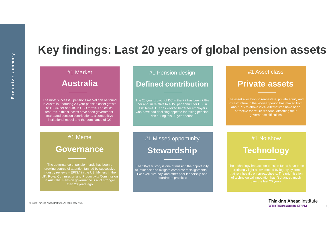### **Key findings: Last 20 years of global pension assets**

| #1 Market<br><b>Australia</b>                                                                                                                                                                                                                                                                                | #1 Pension design<br><b>Defined contribution</b>                                                                                                                                                                                              |                                                                                                                                                                                                                                               |
|--------------------------------------------------------------------------------------------------------------------------------------------------------------------------------------------------------------------------------------------------------------------------------------------------------------|-----------------------------------------------------------------------------------------------------------------------------------------------------------------------------------------------------------------------------------------------|-----------------------------------------------------------------------------------------------------------------------------------------------------------------------------------------------------------------------------------------------|
| The most successful pensions market can be found<br>in Australia, featuring 20-year pension asset growth<br>of 11.3% per annum, in USD terms. The critical<br>features in this success have been government-<br>mandated pension contributions, a competitive<br>institutional model and the dominance of DC | The 20-year growth of DC in the P7 has been 7.8%<br>per annum relative to 4.1% per annum for DB, in<br>USD terms. DC has worked better for employers<br>who have had declining appetite for taking pension<br>risk during this 20-year period | The asset allocation to real estate, private equity and<br>infrastructure in the 20-year period has moved from<br>about 7% to above 26%. Alternatives have been<br>attractive for return reasons, offsetting their<br>governance difficulties |
| #1 Meme                                                                                                                                                                                                                                                                                                      | #1 Missed opportunity                                                                                                                                                                                                                         | #1 No show                                                                                                                                                                                                                                    |
| <b>Governance</b>                                                                                                                                                                                                                                                                                            | <b>Stewardship</b>                                                                                                                                                                                                                            | <b>Technology</b>                                                                                                                                                                                                                             |
| The governance of pension funds has been a<br>growing source of attention fanned by successive<br>industry reviews - ERISA in the US; Myners in the<br>UK; Royal Commission and Productivity Commission<br>in Australia. Pension governance is a lot stronger<br>than 20 years ago                           | The 20-year story is one of missing the opportunity<br>to influence and mitigate corporate misalignments -<br>like executive pay, and other poor leadership and<br>boardroom practices                                                        | The technology impacts on pension funds have been<br>surprisingly light as evidenced by legacy systems<br>that rely heavily on spreadsheets. The prioritisation<br>of technological innovation hasn't changed much<br>over the last 20 years  |

© 2022 Thinking Ahead Institute. All rights reserved.

10

**Thinking Ahead Institute Willis Towers Watson I.I'l'I.I**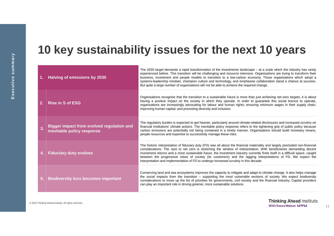### **10 key sustainability issues for the next 10 years**

|    | 1. Halving of emissions by 2030                                                | The 2030 target demands a rapid transformation of the investments landscape $-$ at a scale which the industry has rarely<br>experienced before. This transition will be challenging and resource intensive. Organisations are trying to transform their<br>business, investment and people models to transition to a low-carbon economy. Those organisations which adopt a<br>systems-leadership mindset, champion culture and technology, and emphasise collaboration stand a chance at success.<br>But quite a large number of organisations will not be able to achieve the required change.   |
|----|--------------------------------------------------------------------------------|---------------------------------------------------------------------------------------------------------------------------------------------------------------------------------------------------------------------------------------------------------------------------------------------------------------------------------------------------------------------------------------------------------------------------------------------------------------------------------------------------------------------------------------------------------------------------------------------------|
| 2. | <b>Rise in S of ESG</b>                                                        | Organisations recognise that the transition to a sustainable future is more than just achieving net-zero targets, it is about<br>having a positive impact on the society in which they operate. In order to guarantee this social licence to operate,<br>organisations are increasingly advocating for labour and human rights; ensuring minimum wages in their supply chain;<br>improving human capital; and promoting diversity and inclusion.                                                                                                                                                  |
| 3. | <b>Bigger impact from evolved regulation and</b><br>inevitable policy response | The regulatory burden is expected to get heavier, particularly around climate-related disclosures and increased scrutiny on<br>financial institutions' climate actions. The inevitable policy response refers to the tightening grip of public policy because<br>carbon emissions are potentially not being contained in a timely manner. Organisations should build monetary means,<br>people resources and expertise to successfully manage these risks.                                                                                                                                        |
| 4. | <b>Fiduciary duty evolves</b>                                                  | The historic interpretation of fiduciary duty (FD) was all about the financial materiality and largely precluded non-financial<br>considerations. The race to net zero is stretching the window of interpretation. With beneficiaries demanding decent<br>investment returns and a more sustainable future, the investment industry currently finds itself in a difficult space, caught<br>between the progressive views of society (its customers) and the lagging interpretations of FD. We expect the<br>interpretation and implementation of FD to undergo increased scrutiny in this decade. |
| 5. | <b>Biodiversity loss becomes important</b>                                     | Conserving land and sea ecosystems improves the capacity to mitigate and adapt to climate change. It also helps manage<br>the social impacts from the transition – supporting the most vulnerable sections of society. We expect biodiversity<br>considerations to move up the list of priorities for governments, civil society and the financial industry. Capital providers<br>can play an important role in driving greener, more sustainable solutions.                                                                                                                                      |

**y**

© 2022 Thinking Ahead Institute. All rights reserved.

**Thinking Ahead Institute Willis Towers Watson I.I'l'I.I**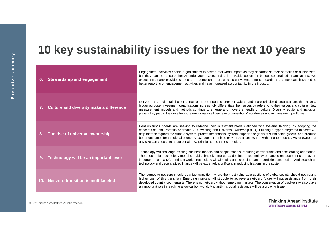### **10 key sustainability issues for the next 10 years**

| 6. | <b>Stewardship and engagement</b>       | Engagement activities enable organisations to have a real world impact as they decarbonise their portfolios or businesses,<br>but they can be resource-heavy endeavours. Outsourcing is a viable option for budget constrained organisations. We<br>expect third-party provider strategies to come under growing scrutiny. Emerging standards and better data have led to<br>better reporting on engagement activities and have increased accountability in the industry.                                                                                                                |
|----|-----------------------------------------|------------------------------------------------------------------------------------------------------------------------------------------------------------------------------------------------------------------------------------------------------------------------------------------------------------------------------------------------------------------------------------------------------------------------------------------------------------------------------------------------------------------------------------------------------------------------------------------|
|    | Culture and diversity make a difference | Net-zero and multi-stakeholder principles are supporting stronger values and more principled organisations that have a<br>bigger purpose. Investment organisations increasingly differentiate themselves by referencing their values and culture. New<br>measurement, models and methods continue to emerge and move the needle on culture. Diversity, equity and inclusion<br>plays a key part in the drive for more emotional intelligence in organisations' workforces and in investment portfolios.                                                                                  |
|    | The rise of universal ownership         | Pension funds boards are seeking to redefine their investment models aligned with systems thinking, by adopting the<br>concepts of Total Portfolio Approach, 3D investing and Universal Ownership (UO). Building a hyper-integrated mindset will<br>help them safeguard the climate system, protect the financial system, support the goals of sustainable growth, and produce<br>better outcomes for the global economy. UO doesn't apply to only large asset owners with long-term goals. Asset owners of<br>any size can choose to adopt certain UO principles into their strategies. |
|    | Technology will be an important lever   | Technology will challenge existing business models and people models, requiring considerable and accelerating adaptation.<br>The people-plus-technology model should ultimately emerge as dominant. Technology enhanced engagement can play an<br>important role in a DC-dominant world. Technology will also play an increasing part in portfolio construction. And blockchain<br>technology and decentralized finance will be extremely significant in reducing frictions in the system.                                                                                               |
|    | 10. Net-zero transition is multifaceted | The journey to net zero should be a just transition, where the most vulnerable sections of global society should not bear a<br>higher cost of this transition. Emerging markets will struggle to achieve a net-zero future without assistance from their<br>developed country counterparts. There is no net-zero without emerging markets. The conservation of biodiversity also plays<br>an important role in reaching a low-carbon world. And anti-microbial resistance will be a growing issue.                                                                                       |

© 2022 Thinking Ahead Institute. All rights reserved.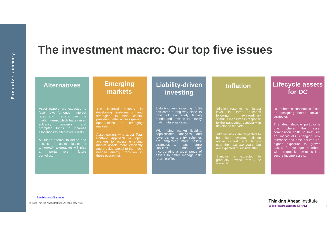#### **The investment macro: Our top five issues**

| <b>Alternatives</b>                                                                                                                                                                                                                                                                                                                                                                                   | <b>Emerging</b><br>markets                                                                                                                                                                                                                                                                                                                                                                 | Liability-driven<br>investing                                                                                                                                                                                                                                                                                                                                                                                                                                         | <b>Inflation</b>                                                                                                                                                                                                                                                                                                                                                                                                         | <b>Lifecycle assets</b><br>for DC                                                                                                                                                                                                                                                                                                                                          |
|-------------------------------------------------------------------------------------------------------------------------------------------------------------------------------------------------------------------------------------------------------------------------------------------------------------------------------------------------------------------------------------------------------|--------------------------------------------------------------------------------------------------------------------------------------------------------------------------------------------------------------------------------------------------------------------------------------------------------------------------------------------------------------------------------------------|-----------------------------------------------------------------------------------------------------------------------------------------------------------------------------------------------------------------------------------------------------------------------------------------------------------------------------------------------------------------------------------------------------------------------------------------------------------------------|--------------------------------------------------------------------------------------------------------------------------------------------------------------------------------------------------------------------------------------------------------------------------------------------------------------------------------------------------------------------------------------------------------------------------|----------------------------------------------------------------------------------------------------------------------------------------------------------------------------------------------------------------------------------------------------------------------------------------------------------------------------------------------------------------------------|
| Asset owners are expected to<br>face lower-for-longer interest<br>rates and returns over the<br>medium-term, which have raised<br>and<br>solvency<br>concerns<br>funds to increase<br>prompted<br>allocations to alternative assets.<br>As funds attempt to define and<br>access the asset classes of<br>tomorrow <sup>1</sup> , alternatives will play<br>an important role in future<br>portfolios. | The financial industry is<br>developing instruments and<br>strategies to help capital<br>providers better access growing<br>opportunities in<br>emerging<br>markets.<br>Asset owners who adopt Total<br>Portfolio Approach will open<br>avenues to access emerging<br>market assets more efficiently<br>and provide capital to the much<br>needed energy transition in<br>these economies. | Liability-driven investing (LDI)<br>has come a long way since its<br>days of exclusively finding<br>bonds and swaps to exactly<br>match future liabilities.<br>market liquidity,<br>rising<br>With<br>sophisticated<br>analytics and<br>lower barrier to entry, schemes<br>are employing more holistic<br>future<br>strategies to match<br><b>Funds</b><br>liabilities.<br>are<br>incorporating a wider range of<br>assets to better manage risk-<br>return profiles. | Inflation rose to its highest<br>level in three decades<br>following<br>extraordinary<br>stimulus measures in response<br>to the pandemic, especially in<br>developed markets.<br>Inflation risks are expected to<br>be tilted towards inflation<br>above central bank targets<br>over the next two years, but<br>are expected to subside after.<br>is expected to<br>Stimulus<br>gradually unwind from 2022<br>onwards. | DC schemes continue to focus<br>on designing better lifecycle<br>strategies.<br>The ideal lifecycle portfolio is<br>where the<br>asset<br>one<br>composition shifts to best suit<br>an individual's changing risk<br>tolerance and time horizon i.e.<br>higher exposure to growth<br>assets for younger members<br>with progressive switches into<br>secure income assets. |

<sup>1</sup> Asset classes of tomorrow

© 2022 Thinking Ahead Institute. All rights reserved.

**Thinking Ahead Institute** Willis Towers Watson LPPLI

13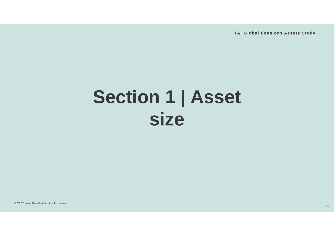**TAI Global Pensions Assets Study**

## **Section 1 | Asset size**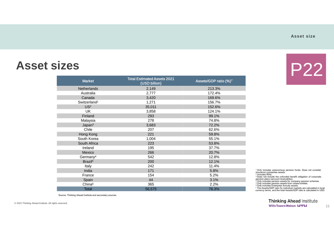#### **Asset size**

P22

#### **Asset sizes**

| <b>Market</b>            | <b>Total Estimated Assets 2021</b><br>(USD billion) | Assets/GDP ratio (%)7 |
|--------------------------|-----------------------------------------------------|-----------------------|
| <b>Netherlands</b>       | 2,149                                               | 213.3%                |
| Australia                | 2,777                                               | 172.4%                |
| Canada                   | 3,420                                               | 169.6%                |
| Switzerland <sup>1</sup> | 1,271                                               | 156.7%                |
| US <sup>2</sup>          | 35,011                                              | 152.6%                |
| <b>UK</b>                | 3,858                                               | 124.1%                |
| Finland                  | 293                                                 | 99.1%                 |
| Malaysia                 | 278                                                 | 74.8%                 |
| Japan <sup>3</sup>       | 3,683                                               | 72.2%                 |
| Chile                    | 207                                                 | 62.6%                 |
| Hong Kong                | 221                                                 | 59.8%                 |
| South Korea              | 1,004                                               | 55.1%                 |
| South Africa             | 223                                                 | 53.8%                 |
| Ireland                  | 195                                                 | 37.7%                 |
| Mexico                   | 266                                                 | 20.7%                 |
| Germany <sup>4</sup>     | 542                                                 | 12.8%                 |
| Brazil <sup>5</sup>      | 200                                                 | 12.1%                 |
| Italy                    | 242                                                 | 11.4%                 |
| India                    | 171                                                 | 5.8%                  |
| France                   | 154                                                 | 5.2%                  |
| Spain                    | 44                                                  | 3.1%                  |
| China <sup>6</sup>       | 365                                                 | 2.2%                  |
| <b>Total</b>             | 56,575                                              | 76.3%                 |

<sup>1</sup> Only includes autonomous pension funds. Does not consider insurance companies assets.<br><sup>2</sup> Includes IRAs.<br><sup>3</sup> Does not include the unfunded benefit obligation of corporate

pension plans (account receivables).<br><sup>4</sup> Only includes pension assets for company pension schemes.<br><sup>5</sup> Only includes pension assets from closed entities.<br><sup>6</sup> Only includes Enterprise Annuity assets.

<sup>7</sup> The Assets/GDP ratio for individual markets are calculated in local<br>currency terms, and the total Assets/GDP ratio is calculated in USD.

**Thinking Ahead Institute WillisTowersWatson I.I'I'I.I** 

Source: Thinking Ahead Institute and secondary sources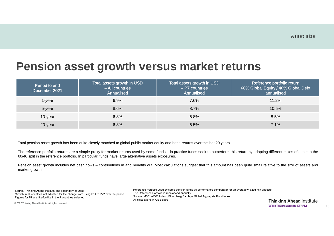#### **Pension asset growth versus market returns**

| Period to end<br>December 2021 | Total assets growth in USD<br>- All countries<br>Annualised | Total assets growth in USD<br>$-$ P7 countries<br>Annualised | Reference portfolio return<br>60% Global Equity / 40% Global Debt<br>annualised |
|--------------------------------|-------------------------------------------------------------|--------------------------------------------------------------|---------------------------------------------------------------------------------|
| $1$ -year                      | 6.9%                                                        | 7.6%                                                         | 11.2%                                                                           |
| 5-year                         | 8.6%                                                        | 8.7%                                                         | 10.5%                                                                           |
| 10-year                        | 6.8%                                                        | 6.8%                                                         | 8.5%                                                                            |
| 20-year                        | 6.8%                                                        | 6.5%                                                         | 7.1%                                                                            |

Total pension asset growth has been quite closely matched to global public market equity and bond returns over the last 20 years.

The reference portfolio returns are a simple proxy for market returns used by some funds – in practice funds seek to outperform this return by adopting different mixes of asset to the 60/40 split in the reference portfolio. In particular, funds have large alternative assets exposures.

Pension asset growth includes net cash flows – contributions in and benefits out. Most calculations suggest that this amount has been quite small relative to the size of assets and market growth.

Source: Thinking Ahead Institute and secondary sources Growth in all countries not adjusted for the change from using P11 to P22 over the period Figures for P7 are like-for-like in the 7 countries selected

Reference Portfolio used by some pension funds as performance comparator for an averagely sized risk appetite The Reference Portfolio is rebalanced annually Source: MSCI ACWI Index ; Bloomberg Barclays Global Aggregate Bond Index All calculations in US dollars

**Thinking Ahead Institute WillisTowersWatson I.I'l'I.I**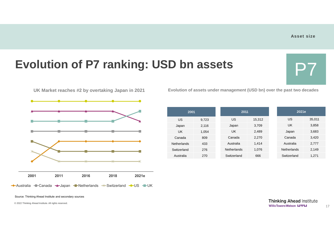## **Evolution of P7 ranking: USD bn assets**

**2001 2011 2016 2018 2021e** Australia – Canada – Japan – Netherlands – Switzerland – US – UK

UK Market reaches #2 by overtaking Japan in 2021 Evolution of assets under management (USD bn) over the past two decades

| 2001               |       | 2011        |        | 2021e              |        |
|--------------------|-------|-------------|--------|--------------------|--------|
| <b>US</b>          | 9,723 | US          | 15,312 | US                 | 35,011 |
| Japan              | 2,116 | Japan       | 3,709  | UK                 | 3,858  |
| <b>UK</b>          | 1,054 | UK          | 2,489  | Japan              | 3,683  |
| Canada             | 809   | Canada      | 2,270  | Canada             | 3,420  |
| <b>Netherlands</b> | 433   | Australia   | 1,414  | Australia          | 2,777  |
| Switzerland        | 276   | Netherlands | 1,076  | <b>Netherlands</b> | 2,149  |
| Australia          | 270   | Switzerland | 666    | Switzerland        | 1,271  |

Source: Thinking Ahead Institute and secondary sources

© 2022 Thinking Ahead Institute. All rights reserved.

**Thinking Ahead Institute WillisTowersWatson I.I'l'I.I**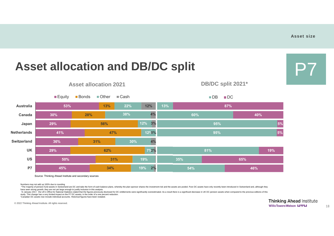### **Asset allocation and DB/DC split**



■ Equity ■ Bonds ■ Other ■ Cash **Asset allocation 2021 DB/DC split 2021\***



Source: Thinking Ahead Institute and secondary sources

Numbers may not add up 100% due to rounding

\*The majority of pension fund assets in Switzerland are DC and take the form of cash balance plans, whereby the plan sponsor shares the investment risk and the assets are pooled. Pure DC assets have only recently been intr have seen strong growth, they are not yet large enough to justify inclusion in this analysis.

'In January 2017, the UK's Office for National Statistics stated that the figures previously disclosed for DC entitlements were significantly overestimated. As a result there is a significant decrease in UK DC pension asse study. This change has a very limited impact on the P7 DC assets; in the order of a one percent reduction.

\* Canadian DC assets now include individual accounts. Historical figures have been restated.

© 2022 Thinking Ahead Institute. All rights reserved.

**Thinking Ahead Institute WillisTowersWatson I.I'I'I.I**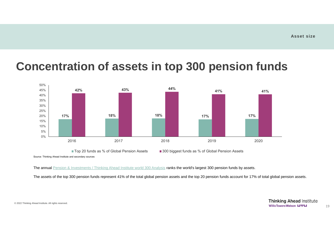#### **Concentration of assets in top 300 pension funds**



■ Top 20 funds as % of Global Pension Assets ■ 300 biggest funds as % of Global Pension Assets

Source: Thinking Ahead Institute and secondary sources

The annual Pension & Investments / Thinking Ahead Institute world 300 Analysis ranks the world's largest 300 pension funds by assets.

The assets of the top 300 pension funds represent 41% of the total global pension assets and the top 20 pension funds account for 17% of total global pension assets.

© 2022 Thinking Ahead Institute. All rights reserved.

**Thinking Ahead Institute WillisTowersWatson I.I'I'I.I**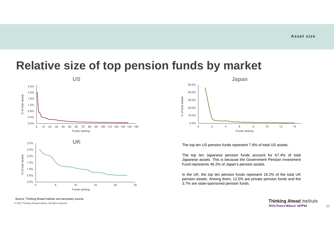#### **Relative size of top pension funds by market**





The top ten US pension funds represent 7.8% of total US assets.

The top ten Japanese pension funds account for 67.4% of total Japanese assets. This is because the Government Pension Investment Fund represents 46.2% of Japan's pension assets.

In the UK, the top ten pension funds represent 16.2% of the total UK pension assets. Among them, 12.5% are private pension funds and the 3.7% are state-sponsored pension funds.

Source: Thinking Ahead Institute and secondary sources

© 2022 Thinking Ahead Institute. All rights reserved.

**Thinking Ahead Institute WillisTowersWatson I.I'I'I.I**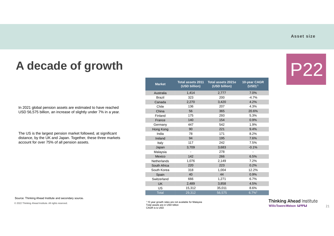P22

### **A decade of growth**

In 2021 global pension assets are estimated to have reached USD 56,575 billion, an increase of slightly under 7% in a year.

The US is the largest pension market followed, at significant distance, by the UK and Japan. Together, these three markets account for over 75% of all pension assets.

| <b>Market</b>      | (USD billion) | Total assets 2011 Total assets 2021e<br>(USD billion) | 10-year CAGR<br>(USD) <sup>1</sup> |
|--------------------|---------------|-------------------------------------------------------|------------------------------------|
| Australia          | 1,414         | 2,777                                                 | 7.0%                               |
| Brazil             | 323           | 200                                                   | $-4.7%$                            |
| Canada             | 2,270         | 3,420                                                 | 4.2%                               |
| Chile              | 136           | 207                                                   | 4.3%                               |
| China              | 56            | 365                                                   | 20.6%                              |
| Finland            | 175           | 293                                                   | 5.3%                               |
| France             | 140           | 154                                                   | 0.9%                               |
| Germany            | 447           | 542                                                   | 1.9%                               |
| Hong Kong          | 90            | 221                                                   | 9.4%                               |
| India              | 78            | 171                                                   | 8.2%                               |
| Ireland            | 94            | 195                                                   | 7.6%                               |
| Italy              | 117           | 242                                                   | 7.5%                               |
| Japan              | 3,709         | 3,683                                                 | $-0.1%$                            |
| Malaysia           |               | 278                                                   |                                    |
| Mexico             | 142           | 266                                                   | 6.5%                               |
| <b>Netherlands</b> | 1,076         | 2,149                                                 | 7.2%                               |
| South Africa       | 220           | 223                                                   | 0.2%                               |
| South Korea        | 318           | 1.004                                                 | 12.2%                              |
| Spain              | 40            | 44                                                    | 0.9%                               |
| Switzerland        | 666           | 1,271                                                 | 6.7%                               |
| <b>UK</b>          | 2,489         | 3,858                                                 | 4.5%                               |
| US                 | 15,312        | 35,011                                                | 8.6%                               |
| <b>Total</b>       | 29,312        | 56,575                                                | $6.7\%$ <sup>1</sup>               |

Source: Thinking Ahead Institute and secondary sources

© 2022 Thinking Ahead Institute. All rights reserved.

1 10 year growth rates are not available for Malaysia Total assets are in USD billion CAGR is is USD.

**Thinking Ahead Institute WillisTowersWatson I.I'l'I.I**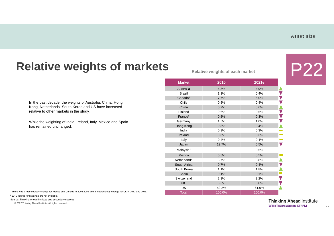#### **Relative weights of markets**

In the past decade, the weights of Australia, China, Hong Kong, Netherlands, South Korea and US have increased relative to other markets in the study.

While the weighting of India, Ireland, Italy, Mexico and Spain has remained unchanged.

Relative weights of each market

| <b>Market</b>         | 2010   | 2021e  |
|-----------------------|--------|--------|
| Australia             | 4.8%   | 4.9%   |
| <b>Brazil</b>         | 1.1%   | 0.4%   |
| Canada <sup>1</sup>   | 7.7%   | 6.0%   |
| Chile                 | 0.5%   | 0.4%   |
| China                 | 0.2%   | 0.6%   |
| Finland               | 0.6%   | 0.5%   |
| France <sup>1</sup>   | 0.5%   | 0.3%   |
| Germany               | 1.5%   | 1.0%   |
| Hong Kong             | 0.3%   | 0.4%   |
| India                 | 0.3%   | 0.3%   |
| Ireland               | 0.3%   | 0.3%   |
| Italy                 | 0.4%   | 0.4%   |
| Japan                 | 12.7%  | 6.5%   |
| Malaysia <sup>2</sup> |        | 0.5%   |
| Mexico                | 0.5%   | 0.5%   |
| <b>Netherlands</b>    | 3.7%   | 3.8%   |
| South Africa          | 0.7%   | 0.4%   |
| South Korea           | 1.1%   | 1.8%   |
| Spain                 | 0.1%   | 0.1%   |
| Switzerland           | 2.3%   | 2.2%   |
| UK <sup>1</sup>       | 8.5%   | 6.8%   |
| <b>US</b>             | 52.2%  | 61.9%  |
| <b>Total</b>          | 100.0% | 100.0% |

<sup>1</sup> There was a methodology change for France and Canada in 2008/2009 and a methodology change for UK in 2012 and 2016. <sup>2</sup> 2010 figures for Malaysia are not available.

Source: Thinking Ahead Institute and secondary sources

© 2022 Thinking Ahead Institute. All rights reserved.

**Thinking Ahead Institute WillisTowersWatson I.I'l'I.I**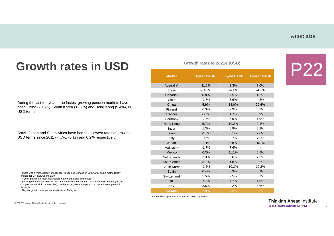#### **Asset size**

#### **Growth rates in USD**

During the last ten years, the fastest growing pension markets have been China (20.6%), South Korea (12.2%) and Hong Kong (9.4%), in USD terms.

Brazil, Japan and South Africa have had the slowest rates of growth in USD terms since 2011 (-4.7%, -0.1% and 0.2% respectively).

1 There was a methodology change for France and Canada in 2008/2009 and a methodology change for UK in 2012 and 2016.

2 1-year growth rate does not capture net contributions in markets

<sup>3</sup> Existing contribution rates as well as the fact that retirees can cash in all their benefits (i.e. no compulsion to lock in or annuities), can have a significant impact on expected asset growth in Australia.

4 10-year growth rates are not available for Malaysia.

| Growth rates to 2021e (USD) |                          |             |              |
|-----------------------------|--------------------------|-------------|--------------|
| <b>Market</b>               | 1-year CAGR <sup>2</sup> | 5-year CAGR | 10-year CAGR |
| Australia <sup>3</sup>      | 11.6%                    | 9.3%        | 7.0%         |
| <b>Brazil</b>               | $-14.2%$                 | $-4.1%$     | $-4.7%$      |
| Canada <sup>1</sup>         | 8.8%                     | 7.5%        | 4.2%         |
| Chile                       | $-2.8%$                  | 3.6%        | 4.3%         |
| China                       | 5.9%                     | 18.0%       | 20.6%        |
| Finland                     | 6.3%                     | 7.9%        | 5.3%         |
| France <sup>1</sup>         | $-0.3%$                  | 1.7%        | 0.9%         |
| Germany                     | $-2.7%$                  | 5.9%        | 1.9%         |
| Hong Kong                   | 5.7%                     | 10.2%       | 9.4%         |
| India                       | 1.3%                     | 8.9%        | 8.2%         |
| Ireland                     | $-1.5%$                  | 8.1%        | 7.6%         |
| Italy                       | $-0.6%$                  | 8.7%        | 7.5%         |
| Japan                       | $-1.1%$                  | 5.8%        | $-0.1%$      |
| Malaysia <sup>4</sup>       | $-1.7%$                  | 7.6%        |              |
| Mexico                      | 0.3%                     | 11.1%       | 6.5%         |
| Netherlands                 | 2.3%                     | 9.6%        | 7.2%         |
| South Africa                | 3.1%                     | 1.8%        | 0.2%         |
| South Korea                 | $-2.6%$                  | 10.3%       | 12.2%        |
| Spain                       | 0.4%                     | 3.3%        | 0.9%         |
| Switzerland                 | 5.5%                     | 9.5%        | 6.7%         |
| UK <sup>1</sup>             | 7.7%                     | 7.7%        | 4.5%         |
| <b>US</b>                   | 8.5%                     | 9.2%        | 8.6%         |
| Average                     | 1.8%                     | 7.3%        | 5.7%         |

Source: Thinking Ahead Institute and secondary sources

© 2022 Thinking Ahead Institute. All rights reserved.

**Thinking Ahead Institute WillisTowersWatson I.I'l'I.I**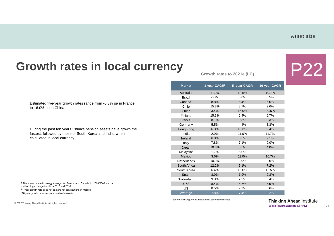#### **Growth rates in local currency**

Estimated five-year growth rates range from -0.3% pa in France to 16.0% pa in China.

During the past ten years China's pension assets have grown the fastest, followed by those of South Korea and India, when calculated in local currency.

<sup>1</sup> There was a methodology change for France and Canada in 2008/2009 and a methodology change for UK in 2012 and 2016.

<sup>2</sup> 1-year growth rate does not capture net contributions in markets

<sup>3</sup>10 year growth rates are not available Malaysia.

© 2022 Thinking Ahead Institute. All rights reserved.

Growth rates to 2021e (LC)

| <b>Market</b>         | 1-year CAGR <sup>2</sup> | 5-year CAGR | 10-year CAGR |
|-----------------------|--------------------------|-------------|--------------|
| Australia             | 17.9%                    | 10.5%       | 10.7%        |
| <b>Brazil</b>         | $-6.9%$                  | 6.8%        | 6.5%         |
| Canada <sup>1</sup>   | 8.8%                     | 6.4%        | 6.6%         |
| Chile                 | 15.8%                    | 8.7%        | 9.6%         |
| China                 | 3.4%                     | 16.0%       | 20.6%        |
| Finland               | 15.3%                    | 6.4%        | 6.7%         |
| France <sup>1</sup>   | 8.1%                     | 0.3%        | 2.3%         |
| Germany               | 5.5%                     | 4.4%        | 3.3%         |
| Hong Kong             | 6.3%                     | 10.3%       | 9.4%         |
| India                 | 2.9%                     | 11.0%       | 11.7%        |
| Ireland               | 6.8%                     | 6.5%        | 9.1%         |
| Italy                 | 7.8%                     | 7.1%        | 9.0%         |
| Japan                 | 10.3%                    | 5.5%        | 4.0%         |
| Malaysia <sup>3</sup> | 1.7%                     | 6.0%        |              |
| Mexico                | 3.6%                     | 11.0%       | 10.7%        |
| Netherlands           | 10.9%                    | 8.0%        | 8.6%         |
| South Africa          | 12.2%                    | 5.1%        | 7.2%         |
| South Korea           | 6.4%                     | 10.0%       | 12.5%        |
| Spain                 | 8.9%                     | 1.9%        | 2.3%         |
| Switzerland           | 9.3%                     | 7.2%        | 6.4%         |
| UK <sup>1</sup>       | 8.4%                     | 5.7%        | 5.9%         |
| US                    | 8.5%                     | 9.2%        | 8.6%         |
| Average               | 7.8%                     | 7.4%        | 8.2%         |

Source: Thinking Ahead Institute and secondary sources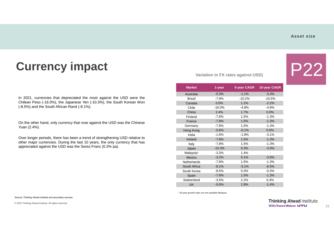#### **Asset size**

### **Currency impact**

In 2021, currencies that depreciated the most against the USD were the Chilean Peso (-16.0%), the Japanese Yen (-10.3%), the South Korean Won (-8.5%) and the South African Rand (-8.1%).

On the other hand, only currency that rose against the USD was the Chinese Yuan (2.4%).

Over longer periods, there has been a trend of strengthening USD relative to other major currencies. During the last 10 years, the only currency that has appreciated against the USD was the Swiss Franc (0.3% pa).

**Variation in FX rates against USD)** 

| CAGR |  |
|------|--|

| <b>Market</b>         | 1-year   | 5-year CAGR | 10-year CAGR |
|-----------------------|----------|-------------|--------------|
| Australia             | $-5.3%$  | $-1.1%$     | $-3.3%$      |
| <b>Brazil</b>         | $-7.9%$  | $-10.2%$    | $-10.5%$     |
| Canada                | 0.0%     | 1.1%        | $-2.2%$      |
| Chile                 | $-16.0%$ | $-4.8%$     | $-4.8%$      |
| China                 | 2.4%     | 1.7%        | 0.0%         |
| Finland               | $-7.8%$  | 1.5%        | $-1.3%$      |
| France                | $-7.8%$  | 1.5%        | $-1.3%$      |
| Germany               | $-7.8%$  | 1.5%        | $-1.3%$      |
| Hong Kong             | $-0.6%$  | $-0.1%$     | 0.0%         |
| India                 | $-1.6%$  | $-1.8%$     | $-3.1%$      |
| Ireland               | $-7.8%$  | 1.5%        | $-1.3%$      |
| Italy                 | $-7.8%$  | 1.5%        | $-1.3%$      |
| Japan                 | $-10.3%$ | 0.3%        | $-3.9%$      |
| Malaysia <sup>1</sup> | $-3.3%$  | 1.4%        |              |
| Mexico                | $-3.2%$  | 0.1%        | $-3.8%$      |
| <b>Netherlands</b>    | $-7.8%$  | 1.5%        | $-1.3%$      |
| South Africa          | $-8.1%$  | $-3.1%$     | $-6.5%$      |
| South Korea           | $-8.5%$  | 0.3%        | $-0.3%$      |
| Spain                 | $-7.8%$  | 1.5%        | $-1.3%$      |
| Switzerland           | $-3.5%$  | 2.2%        | 0.3%         |
| <b>UK</b>             | $-0.6%$  | 1.9%        | $-1.4%$      |

1 10-year growth rates are not available Malaysia.

Source: Thinking Ahead Institute and secondary sources

© 2022 Thinking Ahead Institute. All rights reserved.

**Thinking Ahead Institute WillisTowersWatson I.I'l'I.I**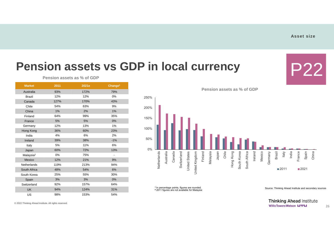P22

#### **Pension assets vs GDP in local currency**

| <b>Market</b>         | 2011 | 2021e | Change <sup>1</sup>      |
|-----------------------|------|-------|--------------------------|
| Australia             | 93%  | 172%  | 79%                      |
| <b>Brazil</b>         | 12%  | 12%   | 0%                       |
| Canada                | 127% | 170%  | 43%                      |
| Chile                 | 54%  | 63%   | 9%                       |
| China                 | 1%   | 2%    | 1%                       |
| Finland               | 64%  | 99%   | 35%                      |
| France                | 5%   | 5%    | 0%                       |
| Germany               | 12%  | 13%   | 1%                       |
| Hong Kong             | 36%  | 60%   | 23%                      |
| India                 | 4%   | 6%    | 2%                       |
| Ireland               | 39%  | 38%   | $-1%$                    |
| Italy                 | 5%   | 11%   | 6%                       |
| Japan                 | 60%  | 72%   | 13%                      |
| Malaysia <sup>2</sup> | 0%   | 75%   | $\overline{\phantom{0}}$ |
| Mexico                | 12%  | 21%   | 9%                       |
| Netherlands           | 119% | 213%  | 94%                      |
| South Africa          | 48%  | 54%   | 6%                       |
| South Korea           | 25%  | 55%   | 30%                      |
| Spain                 | 3%   | 3%    | 0%                       |
| Switzerland           | 92%  | 157%  | 64%                      |
| <b>UK</b>             | 94%  | 124%  | 31%                      |
| US                    | 98%  | 153%  | 54%                      |

**Pension assets as % of GDP**

**Pension assets as % of GDP**



<sup>1</sup> In percentage points, figures are rounded.<br><sup>2</sup> 2011 figures are not available for Malaysia

Source: Thinking Ahead Institute and secondary sources

**Thinking Ahead Institute WillisTowersWatson I.I'I'I.I**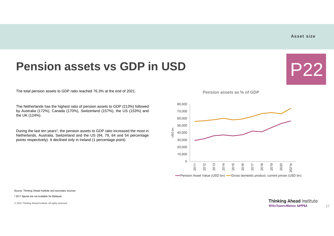P22

#### **Pension assets vs GDP in USD**

The total pension assets to GDP ratio reached 76.3% at the end of 2021.

The Netherlands has the highest ratio of pension assets to GDP (213%) followed by Australia (172%), Canada (170%), Switzerland (157%), the US (153%) and the UK (124%).

During the last ten years<sup>1</sup>, the pension assets to GDP ratio increased the most in Netherlands, Australia, Switzerland and the US (94, 79, 64 and 54 percentage points respectively). It declined only in Ireland (1 percentage point).

**Pension assets as % of GDP**



Source: Thinking Ahead Institute and secondary sources

**<sup>1</sup>** 2011 figures are not available for Malaysia

© 2022 Thinking Ahead Institute. All rights reserved.

**Thinking Ahead Institute WillisTowersWatson I.I'l'I.I**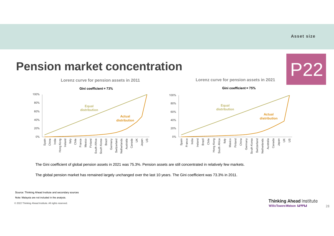

The Gini coefficient of global pension assets in 2021 was 75.3%. Pension assets are still concentrated in relatively few markets.

The global pension market has remained largely unchanged over the last 10 years. The Gini coefficient was 73.3% in 2011.

Source: Thinking Ahead Institute and secondary sources

Note: Malaysia are not included in the analysis.

© 2022 Thinking Ahead Institute. All rights reserved.

**Thinking Ahead Institute WillisTowersWatson I.I'I'I.I**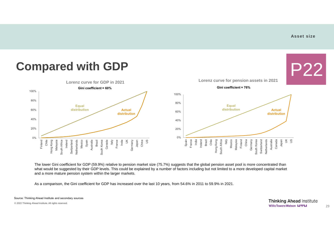#### **Asset size**



The lower Gini coefficient for GDP (59.9%) relative to pension market size (75.7%) suggests that the global pension asset pool is more concentrated than what would be suggested by their GDP levels. This could be explained by a number of factors including but not limited to a more developed capital market and a more mature pension system within the larger markets.

As a comparison, the Gini coefficient for GDP has increased over the last 10 years, from 54.6% in 2011 to 59.9% in 2021.

Source: Thinking Ahead Institute and secondary sources

© 2022 Thinking Ahead Institute. All rights reserved.

**Thinking Ahead Institute WillisTowersWatson I.I'I'I.I**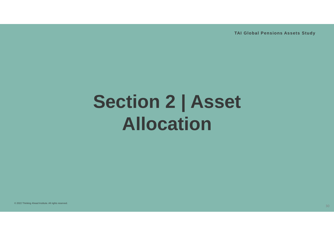**TAI Global Pensions Assets Study**

# **Section 2 | Asset Allocation**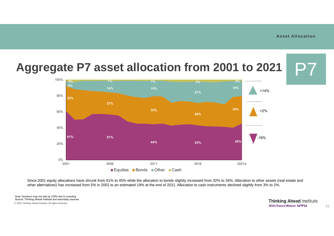

Since 2001 equity allocations have shrunk from 61% to 45% while the allocation to bonds slightly increased from 32% to 34%. Allocation to other assets (real estate and other alternatives) has increased from 5% in 2001 to an estimated 19% at the end of 2021. Allocation to cash instruments declined slightly from 3% to 2%.

© 2022 Thinking Ahead Institute. All rights reserved. Note: Numbers may not add up 100% due to rounding Source: Thinking Ahead Institute and secondary sources

**Thinking Ahead Institute WillisTowersWatson I.I'I'I.I**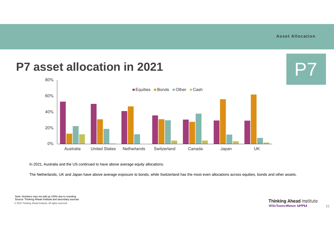P7

#### **P7 asset allocation in 2021**



In 2021, Australia and the US continued to have above average equity allocations.

The Netherlands, UK and Japan have above average exposure to bonds, while Switzerland has the most even allocations across equities, bonds and other assets.

Note: Numbers may not add up 100% due to rounding Source: Thinking Ahead Institute and secondary sources © 2022 Thinking Ahead Institute. All rights reserved.

**Thinking Ahead Institute WillisTowersWatson I.I'l'I.I**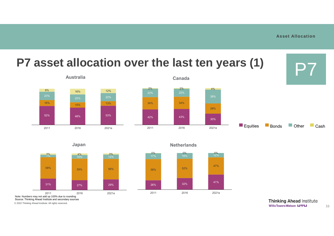





© 2022 Thinking Ahead Institute. All rights reserved.

**Thinking Ahead Institute WillisTowersWatson I.I'l'I.I**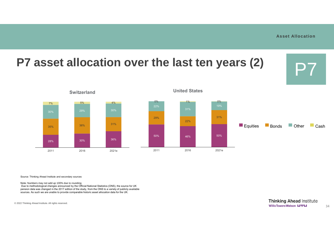

Source: Thinking Ahead Institute and secondary sources

Note: Numbers may not add up 100% due to rounding

Due to methodological changes announced by the Official National Statistics (ONS), the source for UK pension data was changed in the 2017 edition of the study, from the ONS to a variety of publicly available sources. As such we are unable to provide comparable historic asset allocation data for the UK.

© 2022 Thinking Ahead Institute. All rights reserved.

**Thinking Ahead Institute WillisTowersWatson I.I'l'I.I**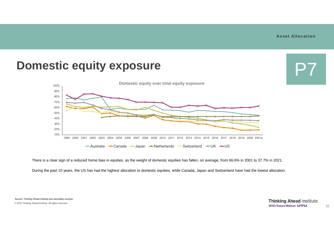#### **Asset Allocation**



There is a clear sign of a reduced home bias in equities, as the weight of domestic equities has fallen, on average, from 66.6% in 2001 to 37.7% in 2021.

During the past 10 years, the US has had the highest allocation to domestic equities, while Canada, Japan and Switzerland have had the lowest allocation.

Source: Thinking Ahead Institute and secondary sources © 2022 Thinking Ahead Institute. All rights reserved.

**Thinking Ahead Institute WillisTowersWatson I.I'l'I.I**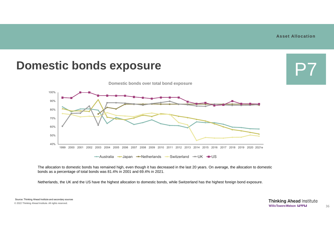#### **Asset Allocation**



The allocation to domestic bonds has remained high, even though it has decreased in the last 20 years. On average, the allocation to domestic bonds as a percentage of total bonds was 81.4% in 2001 and 69.4% in 2021.

Netherlands, the UK and the US have the highest allocation to domestic bonds, while Switzerland has the highest foreign bond exposure.

Source: Thinking Ahead Institute and secondary sources © 2022 Thinking Ahead Institute. All rights reserved.

**Thinking Ahead Institute WillisTowersWatson I.I'l'I.I**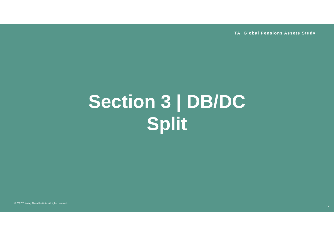**TAI Global Pensions Assets Study**

# **Section 3 | DB/DC Split**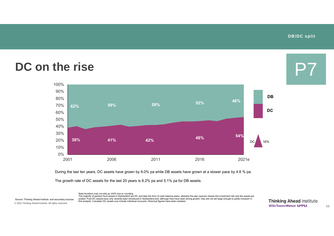**DB/DC split**

P7

#### **DC on the rise**



During the last ten years, DC assets have grown by 9.0% pa while DB assets have grown at a slower pace by 4.8 % pa.

The growth rate of DC assets for the last 20 years is 8.2% pa and 5.1% pa for DB assets.

Note:Numbers may not add up 100% due to rounding The majority of pension fund assets in Switzerland are DC and take the form of cash balance plans, whereby the plan sponsor shares the investment risk and the assets are pooled. Pure DC assets have only recently been introduced in Switzerland and, although they have seen strong growth, they are not yet large enough to justify inclusion in Source: Thinking Ahead Institute and secondary sources pooled. Pure DC assets have only recently been introduced in Switzerland and, although they have seen s<br>this analysis. Canadian DC assets now include individua

© 2022 Thinking Ahead Institute. All rights reserved.

**Thinking Ahead Institute WillisTowersWatson I.I'l'I.I**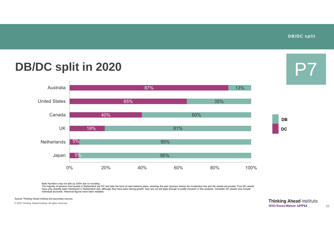P7

### **DB/DC split in 2020**



Note Numbers may not add up 100% due to rounding:

The majority of pension fund assets in Switzerland are DC and take the form of cash balance plans, whereby the plan sponsor shares the investment risk and the assets are pooled. Pure DC assets have only recently been introduced in Switzerland and, although they have seen strong growth, they are not yet large enough to justify inclusion in this analysis. Canadian DC assets now include have only recently been intr individual accounts. Historical figures have been restated.

Source: Thinking Ahead Institute and secondary sources

© 2022 Thinking Ahead Institute. All rights reserved.

**Thinking Ahead Institute WillisTowersWatson I.I'l'I.I**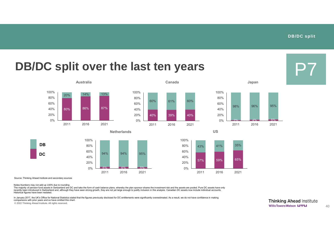P7

### **DB/DC split over the last ten years**





0% 20% 40% 60% 80% 100%





40% 39% 40%

2011 2016 2021

**Australia Canada Japan**





Source: Thinking Ahead Institute and secondary sources

**DC**

**DB**

Notes:Numbers may not add up 100% due to rounding

The majority of pension fund assets in Switzerland are DC and take the form of cash balance plans, whereby the plan sponsor shares the investment risk and the assets are pooled. Pure DC assets have only recently been introduced in Switzerland and, although they have seen strong growth, they are not yet large enough to justify inclusion in this analysis. Canadian DC assets now include individual accounts. Historical figures have been restated.

In January 2017, the UK's Office for National Statistics stated that the figures previously disclosed for DC entitlements were significantly overestimated. As a result, we do not have confidence in making comparisons with prior years and so have omitted this chart.

© 2022 Thinking Ahead Institute. All rights reserved.

**Thinking Ahead Institute WillisTowersWatson I.I'I'I.I**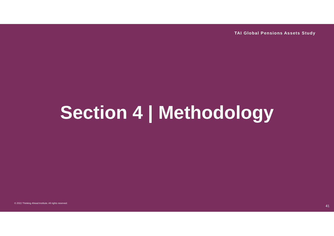**TAI Global Pensions Assets Study**

## **Section 4 | Methodology**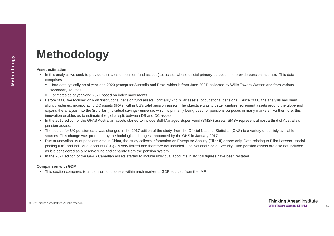### **Methodology**

#### **Asset estimation**

- In this analysis we seek to provide estimates of pension fund assets (i.e. assets whose official primary purpose is to provide pension income). This data comprises:
	- Hard data typically as of year-end 2020 (except for Australia and Brazil which is from June 2021) collected by Willis Towers Watson and from various secondary sources
	- **Estimates as at year-end 2021 based on index movements**
- Before 2006, we focused only on 'institutional pension fund assets', primarily 2nd pillar assets (occupational pensions). Since 2006, the analysis has been slightly widened, incorporating DC assets (IRAs) within US's total pension assets. The objective was to better capture retirement assets around the globe and expand the analysis into the 3rd pillar (individual savings) universe, which is primarily being used for pensions purposes in many markets. Furthermore, this innovation enables us to estimate the global split between DB and DC assets.
- In the 2016 edition of the GPAS Australian assets started to include Self-Managed Super Fund (SMSF) assets. SMSF represent almost a third of Australia's pension assets.
- The source for UK pension data was changed in the 2017 edition of the study, from the Official National Statistics (ONS) to a variety of publicly available sources. This change was prompted by methodological changes announced by the ONS in January 2017.
- Due to unavailability of pensions data in China, the study collects information on Enterprise Annuity (Pillar II) assets only. Data relating to Pillar I assets social pooling (DB) and individual accounts (DC) - is very limited and therefore not included. The National Social Security Fund pension assets are also not included as it is considered as a reserve fund and separate from the pension system.
- In the 2021 edition of the GPAS Canadian assets started to include individual accounts, historical figures have been restated.

#### **Comparison with GDP**

This section compares total pension fund assets within each market to GDP sourced from the IMF.

© 2022 Thinking Ahead Institute. All rights reserved.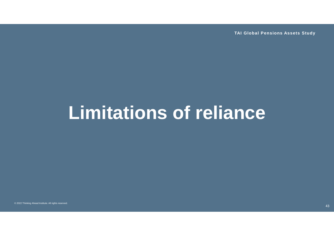**TAI Global Pensions Assets Study**

## **Limitations of reliance**